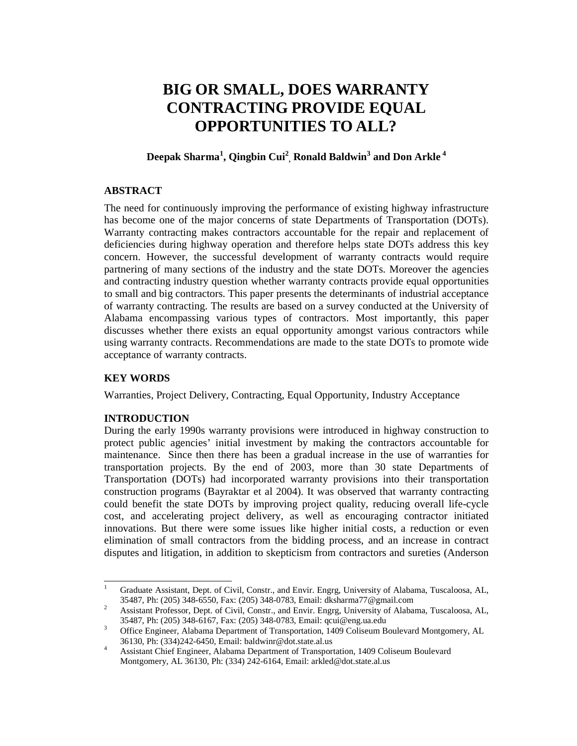# **BIG OR SMALL, DOES WARRANTY CONTRACTING PROVIDE EQUAL OPPORTUNITIES TO ALL?**

## **Deepak Sharma<sup>1</sup> , Qingbin Cui<sup>2</sup> , Ronald Baldwin<sup>3</sup> and Don Arkle<sup>4</sup>**

### **ABSTRACT**

The need for continuously improving the performance of existing highway infrastructure has become one of the major concerns of state Departments of Transportation (DOTs). Warranty contracting makes contractors accountable for the repair and replacement of deficiencies during highway operation and therefore helps state DOTs address this key concern. However, the successful development of warranty contracts would require partnering of many sections of the industry and the state DOTs. Moreover the agencies and contracting industry question whether warranty contracts provide equal opportunities to small and big contractors. This paper presents the determinants of industrial acceptance of warranty contracting. The results are based on a survey conducted at the University of Alabama encompassing various types of contractors. Most importantly, this paper discusses whether there exists an equal opportunity amongst various contractors while using warranty contracts. Recommendations are made to the state DOTs to promote wide acceptance of warranty contracts.

## **KEY WORDS**

<u>.</u>

Warranties, Project Delivery, Contracting, Equal Opportunity, Industry Acceptance

## **INTRODUCTION**

During the early 1990s warranty provisions were introduced in highway construction to protect public agencies' initial investment by making the contractors accountable for maintenance. Since then there has been a gradual increase in the use of warranties for transportation projects. By the end of 2003, more than 30 state Departments of Transportation (DOTs) had incorporated warranty provisions into their transportation construction programs (Bayraktar et al 2004). It was observed that warranty contracting could benefit the state DOTs by improving project quality, reducing overall life-cycle cost, and accelerating project delivery, as well as encouraging contractor initiated innovations. But there were some issues like higher initial costs, a reduction or even elimination of small contractors from the bidding process, and an increase in contract disputes and litigation, in addition to skepticism from contractors and sureties (Anderson

<sup>1</sup> Graduate Assistant, Dept. of Civil, Constr., and Envir. Engrg, University of Alabama, Tuscaloosa, AL, 35487, Ph: (205) 348-6550, Fax: (205) 348-0783, Email: dksharma77@gmail.com

<sup>2</sup> Assistant Professor, Dept. of Civil, Constr., and Envir. Engrg, University of Alabama, Tuscaloosa, AL, 35487, Ph: (205) 348-6167, Fax: (205) 348-0783, Email: qcui@eng.ua.edu

<sup>3</sup> Office Engineer, Alabama Department of Transportation, 1409 Coliseum Boulevard Montgomery, AL 36130, Ph: (334)242-6450, Email: baldwinr@dot.state.al.us

<sup>4</sup> Assistant Chief Engineer, Alabama Department of Transportation, 1409 Coliseum Boulevard Montgomery, AL 36130, Ph: (334) 242-6164, Email: arkled@dot.state.al.us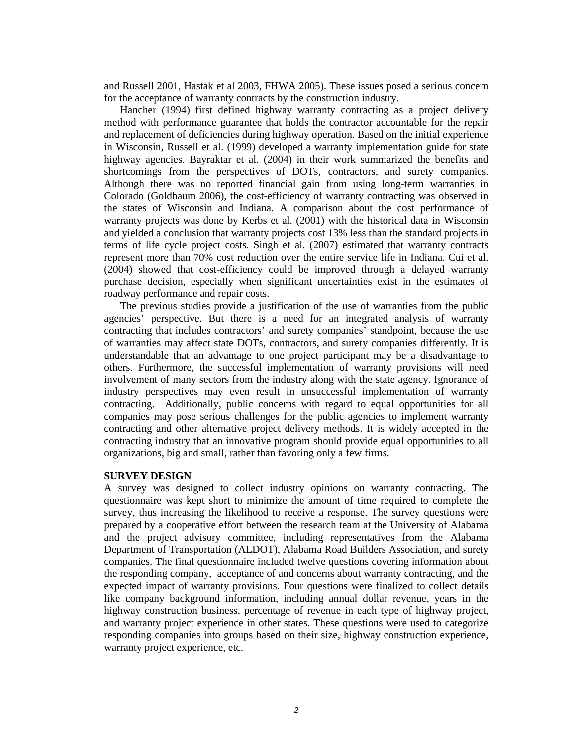and Russell 2001, Hastak et al 2003, FHWA 2005). These issues posed a serious concern for the acceptance of warranty contracts by the construction industry.

Hancher (1994) first defined highway warranty contracting as a project delivery method with performance guarantee that holds the contractor accountable for the repair and replacement of deficiencies during highway operation. Based on the initial experience in Wisconsin, Russell et al. (1999) developed a warranty implementation guide for state highway agencies. Bayraktar et al. (2004) in their work summarized the benefits and shortcomings from the perspectives of DOTs, contractors, and surety companies. Although there was no reported financial gain from using long-term warranties in Colorado (Goldbaum 2006), the cost-efficiency of warranty contracting was observed in the states of Wisconsin and Indiana. A comparison about the cost performance of warranty projects was done by Kerbs et al. (2001) with the historical data in Wisconsin and yielded a conclusion that warranty projects cost 13% less than the standard projects in terms of life cycle project costs. Singh et al. (2007) estimated that warranty contracts represent more than 70% cost reduction over the entire service life in Indiana. Cui et al. (2004) showed that cost-efficiency could be improved through a delayed warranty purchase decision, especially when significant uncertainties exist in the estimates of roadway performance and repair costs.

The previous studies provide a justification of the use of warranties from the public agencies' perspective. But there is a need for an integrated analysis of warranty contracting that includes contractors' and surety companies' standpoint, because the use of warranties may affect state DOTs, contractors, and surety companies differently. It is understandable that an advantage to one project participant may be a disadvantage to others. Furthermore, the successful implementation of warranty provisions will need involvement of many sectors from the industry along with the state agency. Ignorance of industry perspectives may even result in unsuccessful implementation of warranty contracting. Additionally, public concerns with regard to equal opportunities for all companies may pose serious challenges for the public agencies to implement warranty contracting and other alternative project delivery methods. It is widely accepted in the contracting industry that an innovative program should provide equal opportunities to all organizations, big and small, rather than favoring only a few firms.

#### **SURVEY DESIGN**

A survey was designed to collect industry opinions on warranty contracting. The questionnaire was kept short to minimize the amount of time required to complete the survey, thus increasing the likelihood to receive a response. The survey questions were prepared by a cooperative effort between the research team at the University of Alabama and the project advisory committee, including representatives from the Alabama Department of Transportation (ALDOT), Alabama Road Builders Association, and surety companies. The final questionnaire included twelve questions covering information about the responding company, acceptance of and concerns about warranty contracting, and the expected impact of warranty provisions. Four questions were finalized to collect details like company background information, including annual dollar revenue, years in the highway construction business, percentage of revenue in each type of highway project, and warranty project experience in other states. These questions were used to categorize responding companies into groups based on their size, highway construction experience, warranty project experience, etc.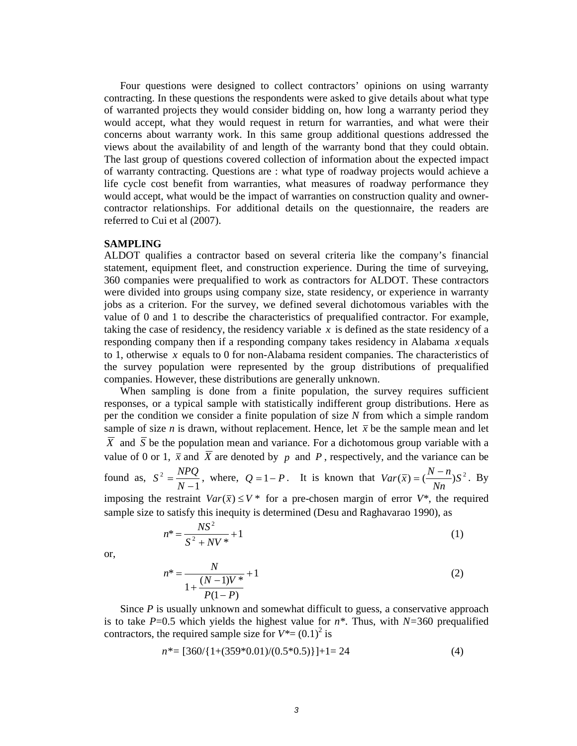Four questions were designed to collect contractors' opinions on using warranty contracting. In these questions the respondents were asked to give details about what type of warranted projects they would consider bidding on, how long a warranty period they would accept, what they would request in return for warranties, and what were their concerns about warranty work. In this same group additional questions addressed the views about the availability of and length of the warranty bond that they could obtain. The last group of questions covered collection of information about the expected impact of warranty contracting. Questions are : what type of roadway projects would achieve a life cycle cost benefit from warranties, what measures of roadway performance they would accept, what would be the impact of warranties on construction quality and ownercontractor relationships. For additional details on the questionnaire, the readers are referred to Cui et al (2007).

#### **SAMPLING**

ALDOT qualifies a contractor based on several criteria like the company's financial statement, equipment fleet, and construction experience. During the time of surveying, 360 companies were prequalified to work as contractors for ALDOT. These contractors were divided into groups using company size, state residency, or experience in warranty jobs as a criterion. For the survey, we defined several dichotomous variables with the value of 0 and 1 to describe the characteristics of prequalified contractor. For example, taking the case of residency, the residency variable *x* is defined as the state residency of a responding company then if a responding company takes residency in Alabama *x* equals to 1, otherwise *x* equals to 0 for non-Alabama resident companies. The characteristics of the survey population were represented by the group distributions of prequalified companies. However, these distributions are generally unknown.

When sampling is done from a finite population, the survey requires sufficient responses, or a typical sample with statistically indifferent group distributions. Here as per the condition we consider a finite population of size *N* from which a simple random sample of size *n* is drawn, without replacement. Hence, let  $\bar{x}$  be the sample mean and let  $\overline{X}$  and  $\overline{S}$  be the population mean and variance. For a dichotomous group variable with a value of 0 or 1,  $\bar{x}$  and  $\bar{X}$  are denoted by *p* and *P*, respectively, and the variance can be found as, 1  $2 = \frac{N}{N}$ = *N*  $S^2 = \frac{NPQ}{N}$ , where,  $Q = 1 - P$ . It is known that  $Var(\bar{x}) = (\frac{N-n}{N})S^2$ *Nn*  $Var(\overline{x}) = \left(\frac{N-n}{N}\right)$  $=(\frac{N-n}{r})S^2$ . By imposing the restraint  $Var(\bar{x}) \leq V^*$  for a pre-chosen margin of error  $V^*$ , the required sample size to satisfy this inequity is determined (Desu and Raghavarao 1990), as

$$
n^* = \frac{NS^2}{S^2 + NV^*} + 1\tag{1}
$$

or,

$$
n^* = \frac{N}{1 + \frac{(N-1)V^*}{P(1-P)}} + 1
$$
 (2)

Since *P* is usually unknown and somewhat difficult to guess, a conservative approach is to take  $P=0.5$  which yields the highest value for  $n^*$ . Thus, with  $N=360$  prequalified contractors, the required sample size for  $V^* = (0.1)^2$  is

$$
n^* = [360/\{1+(359^*0.01)/(0.5^*0.5)\}] + 1 = 24
$$
 (4)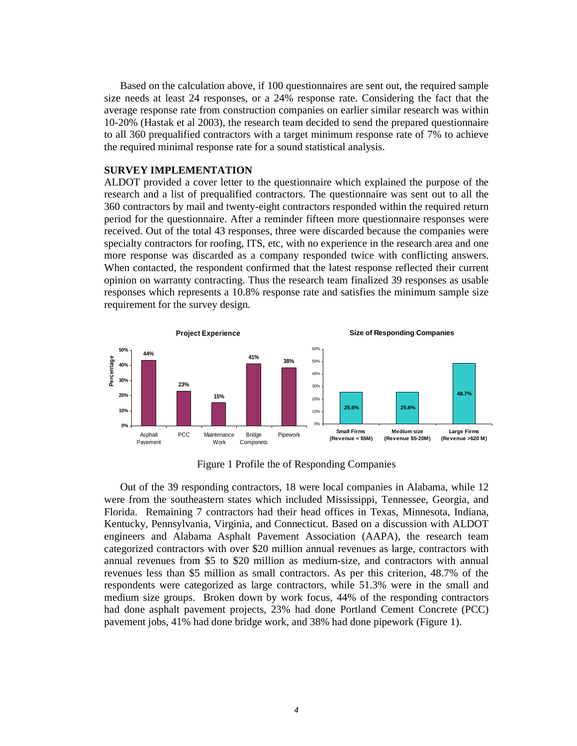Based on the calculation above, if 100 questionnaires are sent out, the required sample size needs at least 24 responses, or a 24% response rate. Considering the fact that the average response rate from construction companies on earlier similar research was within 10-20% (Hastak et al 2003), the research team decided to send the prepared questionnaire to all 360 prequalified contractors with a target minimum response rate of 7% to achieve the required minimal response rate for a sound statistical analysis.

#### **SURVEY IMPLEMENTATION**

ALDOT provided a cover letter to the questionnaire which explained the purpose of the research and a list of prequalified contractors. The questionnaire was sent out to all the 360 contractors by mail and twenty-eight contractors responded within the required return period for the questionnaire. After a reminder fifteen more questionnaire responses were received. Out of the total 43 responses, three were discarded because the companies were specialty contractors for roofing, ITS, etc, with no experience in the research area and one more response was discarded as a company responded twice with conflicting answers. When contacted, the respondent confirmed that the latest response reflected their current opinion on warranty contracting. Thus the research team finalized 39 responses as usable responses which represents a 10.8% response rate and satisfies the minimum sample size requirement for the survey design.



Figure 1 Profile the of Responding Companies

Out of the 39 responding contractors, 18 were local companies in Alabama, while 12 were from the southeastern states which included Mississippi, Tennessee, Georgia, and Florida. Remaining 7 contractors had their head offices in Texas, Minnesota, Indiana, Kentucky, Pennsylvania, Virginia, and Connecticut. Based on a discussion with ALDOT engineers and Alabama Asphalt Pavement Association (AAPA), the research team categorized contractors with over \$20 million annual revenues as large, contractors with annual revenues from \$5 to \$20 million as medium-size, and contractors with annual revenues less than \$5 million as small contractors. As per this criterion, 48.7% of the respondents were categorized as large contractors, while 51.3% were in the small and medium size groups. Broken down by work focus, 44% of the responding contractors had done asphalt pavement projects, 23% had done Portland Cement Concrete (PCC) pavement jobs, 41% had done bridge work, and 38% had done pipework (Figure 1).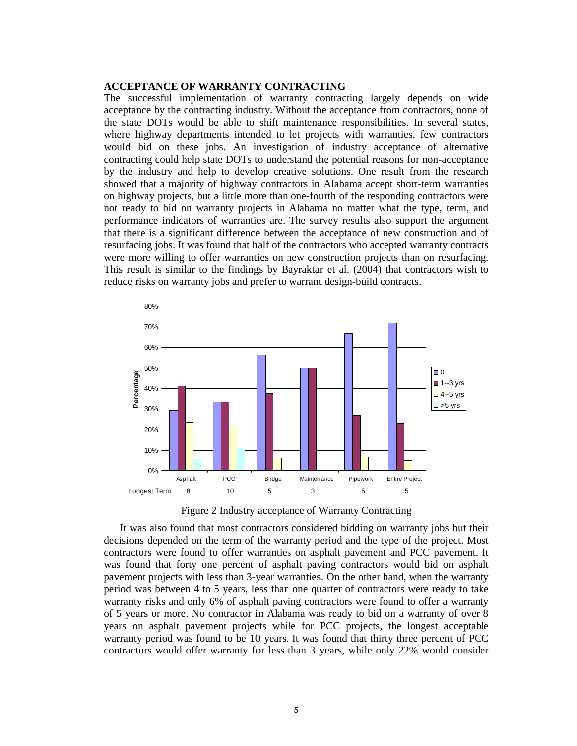#### **ACCEPTANCE OF WARRANTY CONTRACTING**

The successful implementation of warranty contracting largely depends on wide acceptance by the contracting industry. Without the acceptance from contractors, none of the state DOTs would be able to shift maintenance responsibilities. In several states, where highway departments intended to let projects with warranties, few contractors would bid on these jobs. An investigation of industry acceptance of alternative contracting could help state DOTs to understand the potential reasons for non-acceptance by the industry and help to develop creative solutions. One result from the research showed that a majority of highway contractors in Alabama accept short-term warranties on highway projects, but a little more than one-fourth of the responding contractors were not ready to bid on warranty projects in Alabama no matter what the type, term, and performance indicators of warranties are. The survey results also support the argument that there is a significant difference between the acceptance of new construction and of resurfacing jobs. It was found that half of the contractors who accepted warranty contracts were more willing to offer warranties on new construction projects than on resurfacing. This result is similar to the findings by Bayraktar et al. (2004) that contractors wish to reduce risks on warranty jobs and prefer to warrant design-build contracts.



Figure 2 Industry acceptance of Warranty Contracting

It was also found that most contractors considered bidding on warranty jobs but their decisions depended on the term of the warranty period and the type of the project. Most contractors were found to offer warranties on asphalt pavement and PCC pavement. It was found that forty one percent of asphalt paving contractors would bid on asphalt pavement projects with less than 3-year warranties. On the other hand, when the warranty period was between 4 to 5 years, less than one quarter of contractors were ready to take warranty risks and only 6% of asphalt paving contractors were found to offer a warranty of 5 years or more. No contractor in Alabama was ready to bid on a warranty of over 8 years on asphalt pavement projects while for PCC projects, the longest acceptable warranty period was found to be 10 years. It was found that thirty three percent of PCC contractors would offer warranty for less than 3 years, while only 22% would consider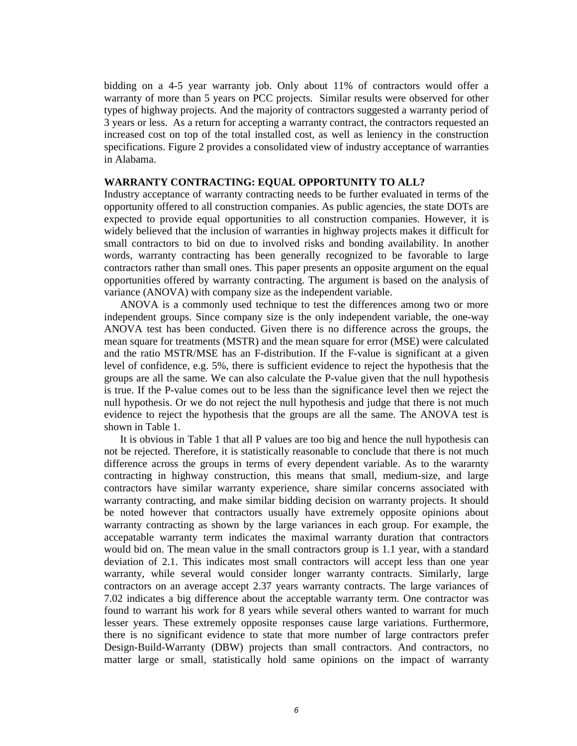bidding on a 4-5 year warranty job. Only about 11% of contractors would offer a warranty of more than 5 years on PCC projects. Similar results were observed for other types of highway projects. And the majority of contractors suggested a warranty period of 3 years or less. As a return for accepting a warranty contract, the contractors requested an increased cost on top of the total installed cost, as well as leniency in the construction specifications. Figure 2 provides a consolidated view of industry acceptance of warranties in Alabama.

#### **WARRANTY CONTRACTING: EQUAL OPPORTUNITY TO ALL?**

Industry acceptance of warranty contracting needs to be further evaluated in terms of the opportunity offered to all construction companies. As public agencies, the state DOTs are expected to provide equal opportunities to all construction companies. However, it is widely believed that the inclusion of warranties in highway projects makes it difficult for small contractors to bid on due to involved risks and bonding availability. In another words, warranty contracting has been generally recognized to be favorable to large contractors rather than small ones. This paper presents an opposite argument on the equal opportunities offered by warranty contracting. The argument is based on the analysis of variance (ANOVA) with company size as the independent variable.

ANOVA is a commonly used technique to test the differences among two or more independent groups. Since company size is the only independent variable, the one-way ANOVA test has been conducted. Given there is no difference across the groups, the mean square for treatments (MSTR) and the mean square for error (MSE) were calculated and the ratio MSTR/MSE has an F-distribution. If the F-value is significant at a given level of confidence, e.g. 5%, there is sufficient evidence to reject the hypothesis that the groups are all the same. We can also calculate the P-value given that the null hypothesis is true. If the P-value comes out to be less than the significance level then we reject the null hypothesis. Or we do not reject the null hypothesis and judge that there is not much evidence to reject the hypothesis that the groups are all the same. The ANOVA test is shown in Table 1.

It is obvious in Table 1 that all P values are too big and hence the null hypothesis can not be rejected. Therefore, it is statistically reasonable to conclude that there is not much difference across the groups in terms of every dependent variable. As to the wararnty contracting in highway construction, this means that small, medium-size, and large contractors have similar warranty experience, share similar concerns associated with warranty contracting, and make similar bidding decision on warranty projects. It should be noted however that contractors usually have extremely opposite opinions about warranty contracting as shown by the large variances in each group. For example, the accepatable warranty term indicates the maximal warranty duration that contractors would bid on. The mean value in the small contractors group is 1.1 year, with a standard deviation of 2.1. This indicates most small contractors will accept less than one year warranty, while several would consider longer warranty contracts. Similarly, large contractors on an average accept 2.37 years warranty contracts. The large variances of 7.02 indicates a big difference about the acceptable warranty term. One contractor was found to warrant his work for 8 years while several others wanted to warrant for much lesser years. These extremely opposite responses cause large variations. Furthermore, there is no significant evidence to state that more number of large contractors prefer Design-Build-Warranty (DBW) projects than small contractors. And contractors, no matter large or small, statistically hold same opinions on the impact of warranty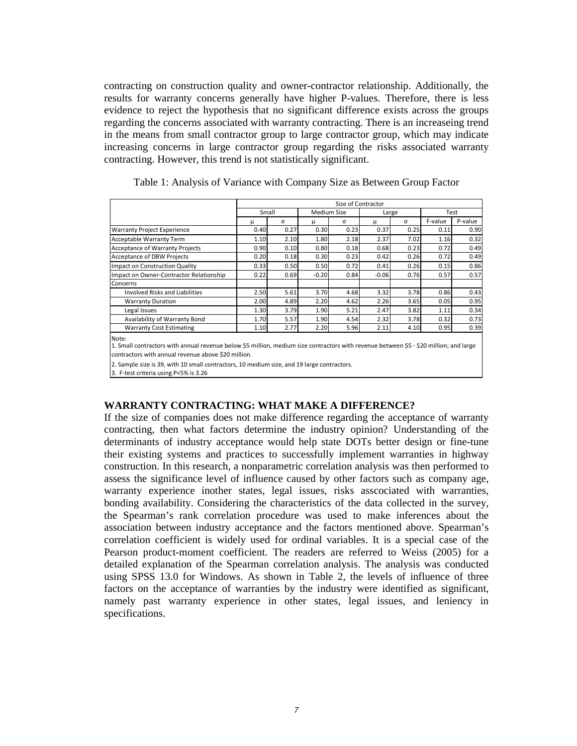contracting on construction quality and owner-contractor relationship. Additionally, the results for warranty concerns generally have higher P-values. Therefore, there is less evidence to reject the hypothesis that no significant difference exists across the groups regarding the concerns associated with warranty contracting. There is an increaseing trend in the means from small contractor group to large contractor group, which may indicate increasing concerns in large contractor group regarding the risks associated warranty contracting. However, this trend is not statistically significant.

|                                                                                                                                                 | Size of Contractor |      |             |      |         |      |         |         |
|-------------------------------------------------------------------------------------------------------------------------------------------------|--------------------|------|-------------|------|---------|------|---------|---------|
|                                                                                                                                                 | Small              |      | Medium Size |      | Large   |      | Test    |         |
|                                                                                                                                                 | μ                  | σ    |             | σ    | μ       | σ    | F-value | P-value |
| <b>Warranty Project Experience</b>                                                                                                              | 0.40               | 0.27 | 0.30        | 0.23 | 0.37    | 0.25 | 0.11    | 0.90    |
| <b>Acceptable Warranty Term</b>                                                                                                                 | 1.10               | 2.10 | 1.80        | 2.18 | 2.37    | 7.02 | 1.16    | 0.32    |
| <b>Acceptance of Warranty Projects</b>                                                                                                          | 0.90               | 0.10 | 0.80        | 0.18 | 0.68    | 0.23 | 0.72    | 0.49    |
| Acceptance of DBW Projects                                                                                                                      | 0.20               | 0.18 | 0.30        | 0.23 | 0.42    | 0.26 | 0.72    | 0.49    |
| Impact on Construction Quality                                                                                                                  | 0.33               | 0.50 | 0.50        | 0.72 | 0.41    | 0.26 | 0.15    | 0.86    |
| Impact on Owner-Contractor Relationship                                                                                                         | 0.22               | 0.69 | $-0.20$     | 0.84 | $-0.06$ | 0.76 | 0.57    | 0.57    |
| Concerns                                                                                                                                        |                    |      |             |      |         |      |         |         |
| <b>Involved Risks and Liabilities</b>                                                                                                           | 2.50               | 5.61 | 3.70        | 4.68 | 3.32    | 3.78 | 0.86    | 0.43    |
| <b>Warranty Duration</b>                                                                                                                        | 2.00               | 4.89 | 2.20        | 4.62 | 2.26    | 3.65 | 0.05    | 0.95    |
| Legal Issues                                                                                                                                    | 1.30               | 3.79 | 1.90        | 5.21 | 2.47    | 3.82 | 1.11    | 0.34    |
| Availability of Warranty Bond                                                                                                                   | 1.70               | 5.57 | 1.90        | 4.54 | 2.32    | 3.78 | 0.32    | 0.73    |
| <b>Warranty Cost Estimating</b>                                                                                                                 | 1.10               | 2.77 | 2.20        | 5.96 | 2.11    | 4.10 | 0.95    | 0.39    |
| Note:<br>1. Small contractors with annual revenue below \$5 million, medium size contractors with revenue between \$5 - \$20 million; and large |                    |      |             |      |         |      |         |         |

Table 1: Analysis of Variance with Company Size as Between Group Factor

contractors with annual revenue above \$20 million.

2. Sample size is 39, with 10 small contractors, 10 medium size, and 19 large contractors.

3. F-test criteria using P<5% is 3.26

#### **WARRANTY CONTRACTING: WHAT MAKE A DIFFERENCE?**

If the size of companies does not make difference regarding the acceptance of warranty contracting, then what factors determine the industry opinion? Understanding of the determinants of industry acceptance would help state DOTs better design or fine-tune their existing systems and practices to successfully implement warranties in highway construction. In this research, a nonparametric correlation analysis was then performed to assess the significance level of influence caused by other factors such as company age, warranty experience inother states, legal issues, risks asscociated with warranties, bonding availability. Considering the characteristics of the data collected in the survey, the Spearman's rank correlation procedure was used to make inferences about the association between industry acceptance and the factors mentioned above. Spearman's correlation coefficient is widely used for ordinal variables. It is a special case of the Pearson product-moment coefficient. The readers are referred to Weiss (2005) for a detailed explanation of the Spearman correlation analysis. The analysis was conducted using SPSS 13.0 for Windows. As shown in Table 2, the levels of influence of three factors on the acceptance of warranties by the industry were identified as significant, namely past warranty experience in other states, legal issues, and leniency in specifications.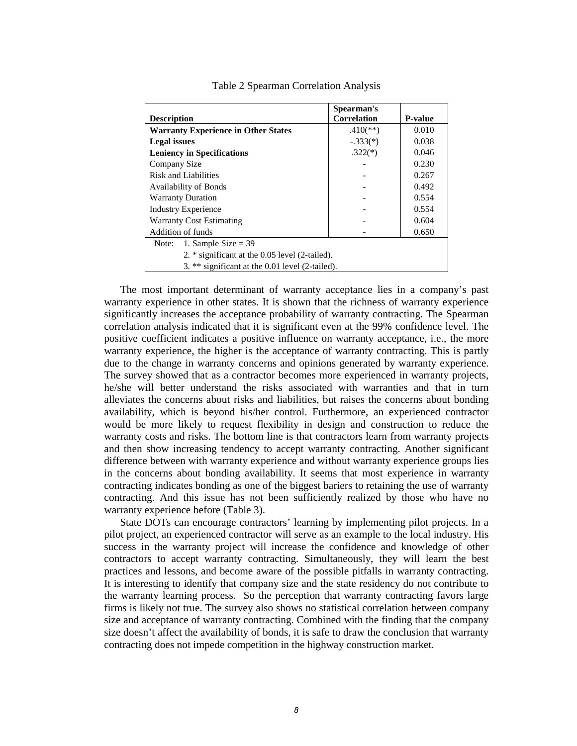|                                                  | Spearman's         |                |  |  |  |  |  |
|--------------------------------------------------|--------------------|----------------|--|--|--|--|--|
| <b>Description</b>                               | <b>Correlation</b> | <b>P-value</b> |  |  |  |  |  |
| <b>Warranty Experience in Other States</b>       | $.410$ (**)        | 0.010          |  |  |  |  |  |
| <b>Legal issues</b>                              | $-.333(*)$         | 0.038          |  |  |  |  |  |
| <b>Leniency in Specifications</b>                | $.322(*)$          | 0.046          |  |  |  |  |  |
| Company Size                                     |                    | 0.230          |  |  |  |  |  |
| Risk and Liabilities                             |                    | 0.267          |  |  |  |  |  |
| <b>Availability of Bonds</b>                     |                    | 0.492          |  |  |  |  |  |
| <b>Warranty Duration</b>                         |                    | 0.554          |  |  |  |  |  |
| <b>Industry Experience</b>                       |                    | 0.554          |  |  |  |  |  |
| <b>Warranty Cost Estimating</b>                  |                    | 0.604          |  |  |  |  |  |
| Addition of funds                                |                    | 0.650          |  |  |  |  |  |
| 1. Sample Size $=$ 39<br>Note:                   |                    |                |  |  |  |  |  |
| 2. $*$ significant at the 0.05 level (2-tailed). |                    |                |  |  |  |  |  |
| 3. ** significant at the 0.01 level (2-tailed).  |                    |                |  |  |  |  |  |

Table 2 Spearman Correlation Analysis

The most important determinant of warranty acceptance lies in a company's past warranty experience in other states. It is shown that the richness of warranty experience significantly increases the acceptance probability of warranty contracting. The Spearman correlation analysis indicated that it is significant even at the 99% confidence level. The positive coefficient indicates a positive influence on warranty acceptance, i.e., the more warranty experience, the higher is the acceptance of warranty contracting. This is partly due to the change in warranty concerns and opinions generated by warranty experience. The survey showed that as a contractor becomes more experienced in warranty projects, he/she will better understand the risks associated with warranties and that in turn alleviates the concerns about risks and liabilities, but raises the concerns about bonding availability, which is beyond his/her control. Furthermore, an experienced contractor would be more likely to request flexibility in design and construction to reduce the warranty costs and risks. The bottom line is that contractors learn from warranty projects and then show increasing tendency to accept warranty contracting. Another significant difference between with warranty experience and without warranty experience groups lies in the concerns about bonding availability. It seems that most experience in warranty contracting indicates bonding as one of the biggest bariers to retaining the use of warranty contracting. And this issue has not been sufficiently realized by those who have no warranty experience before (Table 3).

State DOTs can encourage contractors' learning by implementing pilot projects. In a pilot project, an experienced contractor will serve as an example to the local industry. His success in the warranty project will increase the confidence and knowledge of other contractors to accept warranty contracting. Simultaneously, they will learn the best practices and lessons, and become aware of the possible pitfalls in warranty contracting. It is interesting to identify that company size and the state residency do not contribute to the warranty learning process. So the perception that warranty contracting favors large firms is likely not true. The survey also shows no statistical correlation between company size and acceptance of warranty contracting. Combined with the finding that the company size doesn't affect the availability of bonds, it is safe to draw the conclusion that warranty contracting does not impede competition in the highway construction market.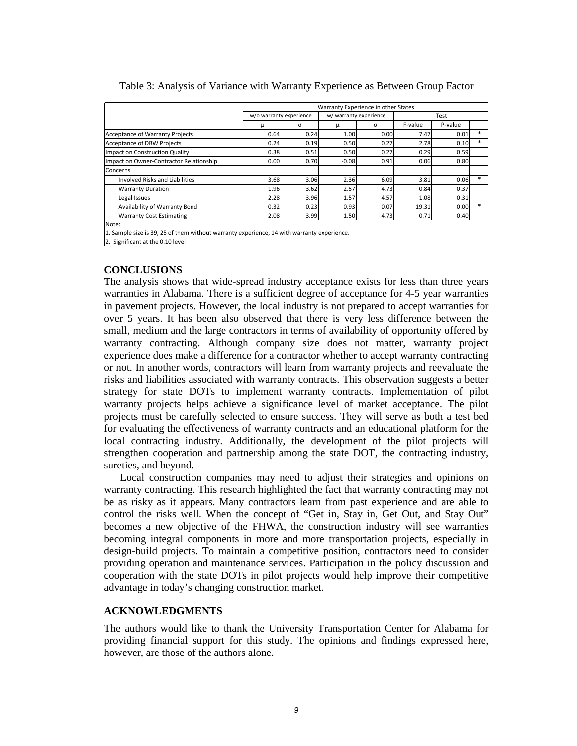|                                                                                            |                         | Warranty Experience in other States |                        |          |         |         |        |  |  |
|--------------------------------------------------------------------------------------------|-------------------------|-------------------------------------|------------------------|----------|---------|---------|--------|--|--|
|                                                                                            | w/o warranty experience |                                     | w/ warranty experience |          | Test    |         |        |  |  |
|                                                                                            | μ                       | σ                                   | μ                      | $\sigma$ | F-value | P-value |        |  |  |
| <b>Acceptance of Warranty Projects</b>                                                     | 0.64                    | 0.24                                | 1.00                   | 0.00     | 7.47    | 0.01    | *      |  |  |
| <b>Acceptance of DBW Projects</b>                                                          | 0.24                    | 0.19                                | 0.50                   | 0.27     | 2.78    | 0.10    | $\ast$ |  |  |
| Impact on Construction Quality                                                             | 0.38                    | 0.51                                | 0.50                   | 0.27     | 0.29    | 0.59    |        |  |  |
| Impact on Owner-Contractor Relationship                                                    | 0.00                    | 0.70                                | $-0.08$                | 0.91     | 0.06    | 0.80    |        |  |  |
| Concerns                                                                                   |                         |                                     |                        |          |         |         |        |  |  |
| Involved Risks and Liabilities                                                             | 3.68                    | 3.06                                | 2.36                   | 6.09     | 3.81    | 0.06    | $\ast$ |  |  |
| <b>Warranty Duration</b>                                                                   | 1.96                    | 3.62                                | 2.57                   | 4.73     | 0.84    | 0.37    |        |  |  |
| Legal Issues                                                                               | 2.28                    | 3.96                                | 1.57                   | 4.57     | 1.08    | 0.31    |        |  |  |
| Availability of Warranty Bond                                                              | 0.32                    | 0.23                                | 0.93                   | 0.07     | 19.31   | 0.00    | $\ast$ |  |  |
| <b>Warranty Cost Estimating</b>                                                            | 2.08                    | 3.99                                | 1.50                   | 4.73     | 0.71    | 0.40    |        |  |  |
| Note:                                                                                      |                         |                                     |                        |          |         |         |        |  |  |
| 1. Sample size is 39, 25 of them without warranty experience, 14 with warranty experience. |                         |                                     |                        |          |         |         |        |  |  |
| 2. Significant at the 0.10 level                                                           |                         |                                     |                        |          |         |         |        |  |  |

#### Table 3: Analysis of Variance with Warranty Experience as Between Group Factor

#### **CONCLUSIONS**

The analysis shows that wide-spread industry acceptance exists for less than three years warranties in Alabama. There is a sufficient degree of acceptance for 4-5 year warranties in pavement projects. However, the local industry is not prepared to accept warranties for over 5 years. It has been also observed that there is very less difference between the small, medium and the large contractors in terms of availability of opportunity offered by warranty contracting. Although company size does not matter, warranty project experience does make a difference for a contractor whether to accept warranty contracting or not. In another words, contractors will learn from warranty projects and reevaluate the risks and liabilities associated with warranty contracts. This observation suggests a better strategy for state DOTs to implement warranty contracts. Implementation of pilot warranty projects helps achieve a significance level of market acceptance. The pilot projects must be carefully selected to ensure success. They will serve as both a test bed for evaluating the effectiveness of warranty contracts and an educational platform for the local contracting industry. Additionally, the development of the pilot projects will strengthen cooperation and partnership among the state DOT, the contracting industry, sureties, and beyond.

Local construction companies may need to adjust their strategies and opinions on warranty contracting. This research highlighted the fact that warranty contracting may not be as risky as it appears. Many contractors learn from past experience and are able to control the risks well. When the concept of "Get in, Stay in, Get Out, and Stay Out" becomes a new objective of the FHWA, the construction industry will see warranties becoming integral components in more and more transportation projects, especially in design-build projects. To maintain a competitive position, contractors need to consider providing operation and maintenance services. Participation in the policy discussion and cooperation with the state DOTs in pilot projects would help improve their competitive advantage in today's changing construction market.

#### **ACKNOWLEDGMENTS**

The authors would like to thank the University Transportation Center for Alabama for providing financial support for this study. The opinions and findings expressed here, however, are those of the authors alone.